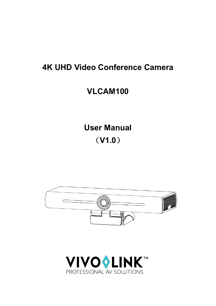# **4K UHD Video Conference Camera**

# **VLCAM100**

**User Manual** (**V1.0**)



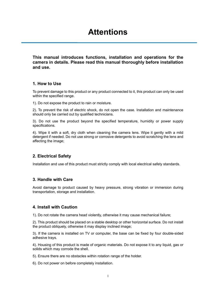# **Attentions**

<span id="page-3-0"></span>**This manual introduces functions, installation and operations for the camera in details. Please read this manual thoroughly before installation and use.** 

### **1. How to Use**

To prevent damage to this product or any product connected to it, this product can only be used within the specified range.

1). Do not expose the product to rain or moisture.

2). To prevent the risk of electric shock, do not open the case. Installation and maintenance should only be carried out by qualified technicians.

3). Do not use the product beyond the specified temperature, humidity or power supply specifications.

4). Wipe it with a soft, dry cloth when cleaning the camera lens. Wipe it gently with a mild detergent if needed. Do not use strong or corrosive detergents to avoid scratching the lens and affecting the image;

## **2. Electrical Safety**

Installation and use of this product must strictly comply with local electrical safety standards.

#### **3. Handle with Care**

Avoid damage to product caused by heavy pressure, strong vibration or immersion during transportation, storage and installation.

#### **4. Install with Caution**

1). Do not rotate the camera head violently, otherwise it may cause mechanical failure;

2). This product should be placed on a stable desktop or other horizontal surface. Do not install the product obliquely, otherwise it may display inclined image;

3). If the camera is installed on TV or computer, the base can be fixed by four double-sided adhesive trays.

4). Housing of this product is made of organic materials. Do not expose it to any liquid, gas or solids which may corrode the shell.

5). Ensure there are no obstacles within rotation range of the holder.

6). Do not power on before completely installation.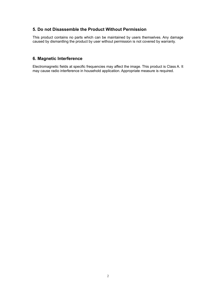## **5. Do not Disassemble the Product Without Permission**

This product contains no parts which can be maintained by users themselves. Any damage caused by dismantling the product by user without permission is not covered by warranty.

## **6. Magnetic Interference**

Electromagnetic fields at specific frequencies may affect the image. This product is Class A. It may cause radio interference in household application. Appropriate measure is required.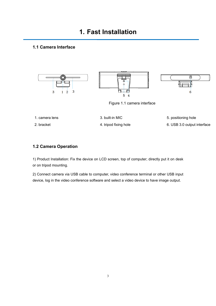## <span id="page-5-1"></span><span id="page-5-0"></span>**1.1 Camera Interface**



Figure 1.1 camera interface

1. camera lens and the state of 3. built-in MIC and the set of 5. positioning hole

2. bracket 4. tripod fixing hole 6. USB 3.0 output interface

## <span id="page-5-2"></span>**1.2 Camera Operation**

1) Product Installation: Fix the device on LCD screen, top of computer; directly put it on desk or on tripod mounting.

2) Connect camera via USB cable to computer, video conference terminal or other USB input device, log in the video conference software and select a video device to have image output.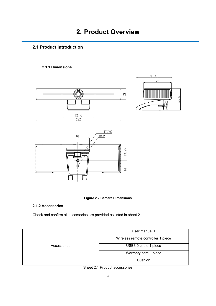## <span id="page-6-1"></span><span id="page-6-0"></span>**2.1 Product Introduction**

## <span id="page-6-2"></span>**2.1.1 Dimensions**









## <span id="page-6-3"></span>**2.1.2 Accessories**

Check and confirm all accessories are provided as listed in sheet 2.1.



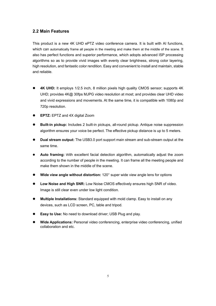## <span id="page-7-0"></span>**2.2 Main Features**

This product is a new 4K UHD ePTZ video conference camera. It is built with AI functions, which can automatically frame all people in the meeting and make them at the middle of the scene. It also has perfect functions and superior performance, which adopts advanced ISP processing algorithms so as to provide vivid images with evenly clear brightness, strong color layering, high resolution, and fantastic color rendition. Easy and convenient to install and maintain, stable and reliable.

- **4K UHD:** It employs 1/2.5 inch, 8 million pixels high quality CMOS sensor; supports 4K UHD; provides 4K@ 30fps MJPG video resolution at most; and provides clear UHD video and vivid expressions and movements. At the same time, it is compatible with 1080p and 720p resolution.
- **EPTZ:** EPTZ and 4X digital Zoom
- **Built-in pickup:** Includes 2 built-in pickups, all-round pickup. Antique noise suppression algorithm ensures your voice be perfect. The effective pickup distance is up to 5 meters.
- **Dual stream output:** The USB3.0 port support main stream and sub-stream output at the same time.
- **Auto framing:** With excellent facial detection algorithm, automatically adjust the zoom according to the number of people in the meeting. It can frame all the meeting people and make them shown in the middle of the scene.
- **Wide view angle without distortion:** 120° super wide view angle lens for options
- **Low Noise and High SNR:** Low Noise CMOS effectively ensures high SNR of video. Image is still clear even under low light condition.
- **Multiple Installations:** Standard equipped with mold clamp. Easy to install on any devices, such as LCD screen, PC, table and tripod.
- **Easy to Use:** No need to download driver; USB Plug and play.
- **Wide Applications:** Personal video conferencing, enterprise video conferencing, unified collaboration and etc.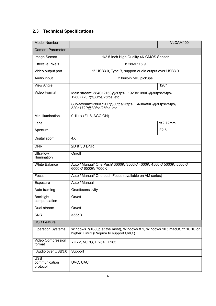## <span id="page-8-0"></span>**2.3 Technical Specifications**

| <b>Model Number</b>                     |                                                                                                                    |                                                     | VLCAM100    |
|-----------------------------------------|--------------------------------------------------------------------------------------------------------------------|-----------------------------------------------------|-------------|
| <b>Camera Parameter</b>                 |                                                                                                                    |                                                     |             |
| Image Sensor                            | 1/2.5 Inch High Quality 4K CMOS Sensor                                                                             |                                                     |             |
| <b>Effective Pixels</b>                 | 8.28MP 16:9                                                                                                        |                                                     |             |
| Video output port                       |                                                                                                                    | 1* USB3.0, Type B, support audio output over USB3.0 |             |
| Audio input                             |                                                                                                                    | 2 built-in MIC pickups                              |             |
| <b>View Angle</b>                       |                                                                                                                    |                                                     | $120^\circ$ |
| <b>Video Format</b>                     | Main stream: 3840×2160@30fps、1920×1080P@30fps/25fps、<br>1280×720P@30fps/25fps, etc.                                |                                                     |             |
|                                         | Sub-stream:1280×720P@30fps/25fps、640×480P@30fps/25fps;<br>320×172P@30fps/25fps, etc.                               |                                                     |             |
| Min Illumination                        | 0.1Lux (F1.8, AGC ON)                                                                                              |                                                     |             |
| Lens                                    |                                                                                                                    |                                                     | $f=2.72$ mm |
| Aperture                                |                                                                                                                    |                                                     | F2.5        |
| Digital zoom                            | 4X                                                                                                                 |                                                     |             |
| <b>DNR</b>                              | 2D & 3D DNR                                                                                                        |                                                     |             |
| Ultra-low<br>illumination               | On/off                                                                                                             |                                                     |             |
| <b>White Balance</b>                    | Auto / Manual/ One Push/ 3000K/ 3500K/ 4000K/ 4500K/ 5000K/ 5500K/<br>6000K/ 6500K/ 7000K                          |                                                     |             |
| Focus                                   | Auto / Manual/ One push Focus (available on AM series)                                                             |                                                     |             |
| Exposure                                | Auto / Manual                                                                                                      |                                                     |             |
| Auto framing                            | On/off/sensitivity                                                                                                 |                                                     |             |
| <b>Backlight</b><br>compensation        | On/off                                                                                                             |                                                     |             |
| Dual stream                             | On/off                                                                                                             |                                                     |             |
| <b>SNR</b>                              | >55dB                                                                                                              |                                                     |             |
| <b>USB Feature</b>                      |                                                                                                                    |                                                     |             |
| <b>Operation Systems</b>                | Windows 7(1080p at the most), Windows 8.1, Windows 10 ; macOS™ 10.10 or<br>higher, Linux (Require to support UVC.) |                                                     |             |
| Video Compression<br>format             | YUY2, MJPG, H.264, H.265                                                                                           |                                                     |             |
| Audio over USB3.0                       | Support                                                                                                            |                                                     |             |
| <b>USB</b><br>communication<br>protocol | UVC, UAC                                                                                                           |                                                     |             |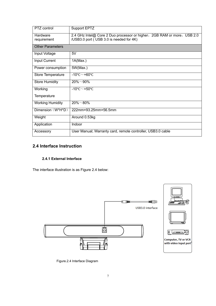| PTZ control              | Support EPTZ                                                                                                       |
|--------------------------|--------------------------------------------------------------------------------------------------------------------|
| Hardware<br>requirement  | 2.4 GHz Intel@ Core 2 Duo processor or higher, 2GB RAM or more, USB 2.0<br>/USB3.0 port (USB 3.0 is needed for 4K) |
| <b>Other Parameters</b>  |                                                                                                                    |
| Input Voltage            | 5V                                                                                                                 |
| Input Current            | 1A(Max.)                                                                                                           |
| Power consumption        | 5W(Max.)                                                                                                           |
| <b>Store Temperature</b> | $-10^{\circ}$ C $\sim$ +60 $^{\circ}$ C                                                                            |
| <b>Store Humidity</b>    | $20\% \sim 90\%$                                                                                                   |
| Working                  | $-10^{\circ}$ C $-$ +50 $^{\circ}$ C                                                                               |
| Temperature              |                                                                                                                    |
| <b>Working Humidity</b>  | $20\% \sim 80\%$                                                                                                   |
| Dimension (W*H*D)        | 222mm×93.25mm×56.5mm                                                                                               |
| Weight                   | Around 0.53kg                                                                                                      |
| Application              | Indoor                                                                                                             |
| Accessory                | User Manual; Warranty card, remote controller, USB3.0 cable                                                        |

## <span id="page-9-0"></span>**2.4 Interface Instruction**

## <span id="page-9-1"></span>**2.4.1 External Interface**

The interface illustration is as Figure 2.4 below:



Figure.2.4 Interface Diagram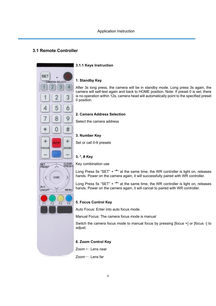## <span id="page-10-1"></span>**3.1 Remote Controller**



#### <span id="page-10-2"></span><span id="page-10-0"></span>**3.1.1 Keys Instruction**

#### **1. Standby Key**

After 3s long press, the camera will be in standby mode. Long press 3s again, the camera will self-test again and back to HOME position. Note: If preset 0 is set, there is no operation within 12s, camera head will automatically point to the specified preset 0 position.

#### **2. Camera Address Selection**

Select the camera address

#### **3. Number Key**

Set or call 0-9 presets

## **3. \*, # Key**



Long Press 5s "SET" + "**\***" at the same time, the WR controller is light on, releases hands. Power on the camera again, it will successfully paired with WR controller.

Long Press 5s "SET" + "**\***" at the same time, the WR controller is light on, releases hands. Power on the camera again, it will cancel to paired with WR controller.



HOME

**MENU** 

SET<br>PRESET

BL<sub>C</sub>

ON/OFF

#### **5. Focus Control Key**

Auto Focus: Enter into auto focus mode.

Manual Focus: The camera focus mode is manual

Switch the camera focus mode to manual focus by pressing [focus +] or [focus -] to adjust.

#### **6. Zoom Control Key**

Zoom+: Lens near

Zoom-: Lens far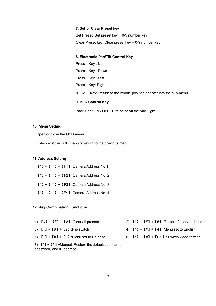#### **7. Set or Clear Preset key**:

Set Preset: Set preset key + 0-9 number key Clear Preset key: Clear preset key + 0-9 number key

#### **8. Electronic Pan/Tilt Control Key**

Press Key : Up Press Key : Down Press Key : Left Press Key: Right "HOME" Key: Return to the middle position or enter into the sub-menu

### **9. BLC Control Key**

Back Light ON / OFF: Turn on or off the back light

#### **10. Menu Setting**

Open or close the OSD menu

Enter / exit the OSD menu or return to the previous menu

#### **11. Address Setting**

- $[\cdot] + [\cdot] + [\cdot] + [\cdot]$  : Camera Address No.1
- $[\cdot] + [\cdot] + [\cdot] + [\cdot]$ :Camera Address No. 2
- $[\cdot] + [\cdot] + [\cdot] + [\cdot]$  : Camera Address No. 3
- $[\cdot] + [\cdot] + [\cdot] + [\cdot]$  : Camera Address No. 4

#### **12. Key Combination Functions**

- 
- 
- 5)  ${\{\ast\}}$  +  ${\{\sharp\}}$  +  ${\{\sharp\}}$  +  ${\{\sharp\}}$  : Menu set to Chinese 6)  ${\{\ast\}}$  +  ${\{\sharp\}}$  +  ${\{\sharp\}}$  +  ${\{\circ\}}$  : Switch video format
- 7)  $\mathbb{I}^*$  +  $\mathbb{I}$  +  $\mathbb{I}$  + Manual: Restore the default user name, password, and IP address
- 1)  $[ # ] + [ # ] + [ # ]$ :Clear all presets 2)  $[ * ] + [ # ] + [ 6 ]$ :Restore factory defaults
- 3)  ${\{\ast\}} + {\{\sharp\}} + {\{\!\!\!\!\!\!\pm\!\!\!\!\}}$  : Flip switch  $\qquad \qquad$  4)  ${\{\ast\}} + {\{\sharp\}} + {\{\sharp\}}$  : Menu set to English
	-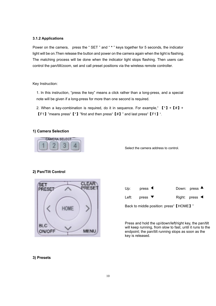#### <span id="page-12-0"></span>**3.1.2 Applications**

Power on the camera, press the " SET " and " **\*** " keys together for 5 seconds, the indicator light will be on.Then release the button and power on the camera again when the light is flashing. The matching process will be done when the indicator light stops flashing. Then users can control the pan/tilt/zoom, set and call preset positions via the wireless remote controller.

#### Key Instruction:

1. In this instruction, "press the key" means a click rather than a long-press, and a special note will be given if a long-press for more than one second is required.

2. When a key-combination is required, do it in sequence. For example,"  $(\cdot) + (\cdot) + (\cdot) + (\cdot)$ 【F1】"means press"【\*】"first and then press"【#】" and last press"【F1】".

#### **1) Camera Selection**



Select the camera address to control.

#### **2) Pan/Tilt Control**





Press and hold the up/down/left/right key, the pan/tilt will keep running, from slow to fast, until it runs to the endpoint; the pan/tilt running stops as soon as the key is released.

#### **3) Presets**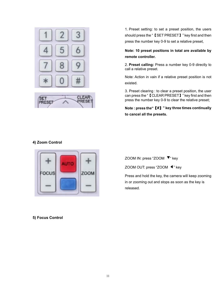

**RESE** PRESET

1. Preset setting: to set a preset position, the users should press the " 【SET PRESET】 " key first and then press the number key 0-9 to set a relative preset,

## **Note: 10 preset positions in total are available by remote controller.**

2. **Preset calling:** Press a number key 0-9 directly to call a relative preset.

Note: Action in vain if a relative preset position is not existed.

3. Preset clearing : to clear a preset position, the user can press the "【CLEAR PRESET】" key first and then press the number key 0-9 to clear the relative preset;

**Note : press the"**【**#**】**" key three times continually to cancel all the presets.**

## **4) Zoom Control**



## ZOOM IN: press "ZOOM ▼ " key

ZOOM OUT: press "ZOOM ◀" key

Press and hold the key, the camera will keep zooming in or zooming out and stops as soon as the key is released.

**5) Focus Control**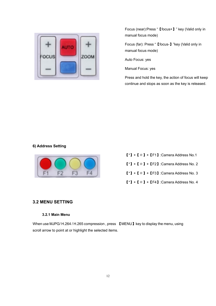

Focus (near):Press "【focus+】" key (Valid only in manual focus mode)

Focus (far): Press "【focus-】"key (Valid only in manual focus mode)

Auto Focus: yes

Manual Focus: yes

Press and hold the key, the action of focus will keep continue and stops as soon as the key is released.

#### **6) Address Setting**



 $[\cdot] + [\cdot] + [\cdot] + [\cdot]$ :Camera Address No.1  $[\cdot] + [\cdot] + [\cdot] + [\cdot]$ :Camera Address No. 2  $[\cdot] + [\cdot] + [\cdot] + [\cdot]$  : Camera Address No. 3  $[\cdot] + [\cdot] + [\cdot] + [\cdot]$  : Camera Address No. 4

## <span id="page-14-0"></span>**3.2 MENU SETTING**

#### <span id="page-14-1"></span>**3.2.1 Main Menu**

When use MJPG/ H.264 / H.265 compression, press **[MENU]** key to display the menu, using scroll arrow to point at or highlight the selected items.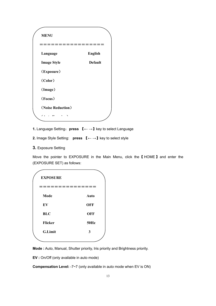

**1.** Language Setting:**press** 【**← →**】key to select Language 

**2.** Image Style Setting: **press** 【**← →**】key to select style

## **3.** Exposure Setting

Move the pointer to EXPOSURE in the Main Menu, click the【 HOME】 and enter the (EXPOSURE SET) as follows:

| <b>EXPOSURE</b> |             |
|-----------------|-------------|
|                 |             |
| Mode            | Auto        |
| EV              | <b>OFF</b>  |
| <b>BLC</b>      | <b>OFF</b>  |
| <b>Flicker</b>  | <b>50Hz</b> |
| <b>G.Limit</b>  | 3           |
|                 |             |

**Mode :** Auto, Manual, Shutter priority, Iris priority and Brightness priority.

**EV :** On/Off (only available in auto mode)

**Compensation Level:** -7~7 (only available in auto mode when EV is ON)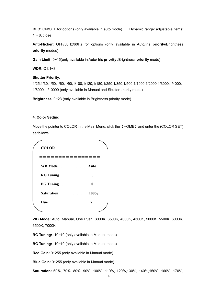**BLC:** ON/OFF for options (only available in auto mode) Dynamic range: adjustable items:  $1 \sim 8$ , close

**Anti-Flicker:** OFF/50Hz/60Hz for options (only available in Auto/Iris **priority**/Brightness **priority** modes)

**Gain Limit:** 0~15(only available in Auto/ Iris **priority** /Brightness **priority** mode)

**WDR:** Off,1~8

#### **Shutter Priority**:

1/25,1/30,1/50,1/60,1/90,1/100,1/120,1/180,1/250,1/350,1/500,1/1000,1/2000,1/3000,1/4000, 1/6000, 1/10000 (only available in Manual and Shutter priority mode)

**Brightness**: 0~23 (only available in Brightness priority mode)

#### **4. Color Setting**

Move the pointer to COLOR in the Main Menu, click the【HOME】and enter the (COLOR SET) as follows:



**WB Mode:** Auto, Manual, One Push, 3000K, 3500K, 4000K, 4500K, 5000K, 5500K, 6000K, 6500K, 7000K

**RG Tuning:** -10~10 (only available in Manual mode)

**BG Tuning:** -10~10 (only available in Manual mode)

**Red Gain:** 0~255 (only available in Manual mode)

**Blue Gain:** 0~255 (only available in Manual mode)

**Saturation:** 60%, 70%, 80%, 90%, 100%, 110%, 120%,130%, 140%,150%, 160%, 170%,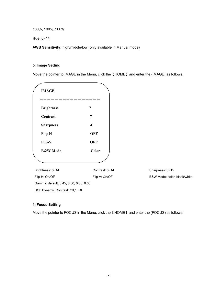180%, 190%, 200%

**Hue**: 0~14

**AWB Sensitivity:** high/middle/low (only available in Manual mode)

#### **5. Image Setting**

Move the pointer to IMAGE in the Menu, click the【HOME】and enter the (IMAGE) as follows,

| <b>IMAGE</b>        |             |
|---------------------|-------------|
|                     |             |
| <b>Brightness</b>   | 7           |
| Contrast            | 7           |
| <b>Sharpness</b>    | 4           |
| <b>Flip-H</b>       | <b>OFF</b>  |
| Flip-V              | <b>OFF</b>  |
| <b>B&amp;W-Mode</b> | Color       |
|                     |             |
| Brightness: 0~14    | Contrast: 0 |

 $\sim$ 14 Contrast: 0~15

Flip-H: On/Off Flip-V: On/Off Flip-V: On/Off B&W Mode: color, black/white Gamma: default, 0.45, 0.50, 0.55, 0.63 DCI: Dynamic Contrast: Off,1 $\sim$ 8

#### 6. **Focus Setting**

Move the pointer to FOCUS in the Menu, click the 【HOME】and enter the (FOCUS) as follows: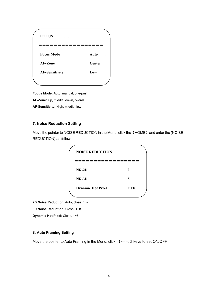| <b>FOCUS</b>          |        |
|-----------------------|--------|
|                       |        |
|                       |        |
| <b>Focus Mode</b>     | Auto   |
| AF-Zone               | Center |
| <b>AF-Sensitivity</b> | Low    |
|                       |        |

**Focus Mode:** Auto, manual, one-push **AF-Zone:** Up, middle, down, overall

**AF-Sensitivity:** High, middle, low

### **7. Noise Reduction Setting**

Move the pointer to NOISE REDUCTION in the Menu, click the【HOME】and enter the (NOISE REDUCTION) as follows,



**2D Noise Reduction**: Auto, close, 1~7

**3D Noise Reduction**: Close, 1~8

**Dynamic Hot Pixel**: Close, 1~5

#### **8. Auto Framing Setting**

Move the pointer to Auto Framing in the Menu, click 【**← →**】keys to set ON/OFF.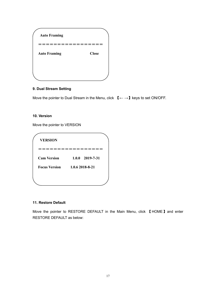| <b>Auto Framing</b> |              |
|---------------------|--------------|
|                     |              |
| <b>Auto Framing</b> | <b>Close</b> |
|                     |              |
|                     |              |

## **9. Dual Stream Setting**

Move the pointer to Dual Stream in the Menu, click 【**← →**】keys to set ON/OFF.

### **10. Version**

Move the pointer to VERSION

| <b>VERSION</b>       |                   |
|----------------------|-------------------|
|                      |                   |
| <b>Cam Version</b>   | $1.0.0$ 2019-7-31 |
| <b>Focus Version</b> | 1.0.6 2018-8-21   |

## **11. Restore Default**

Move the pointer to RESTORE DEFAULT in the Main Menu, click 【HOME】and enter RESTORE DEFAULT as below: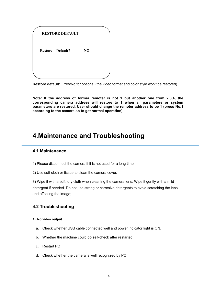| <b>RESTORE DEFAULT</b>  |    |  |
|-------------------------|----|--|
|                         |    |  |
| <b>Restore Default?</b> | NO |  |
|                         |    |  |
|                         |    |  |
|                         |    |  |

**Restore default:** Yes/No for options. (the video format and color style won't be restored)

**Note: If the address of former remoter is not 1 but another one from 2,3,4, the corresponding camera address will restore to 1 when all parameters or system parameters are restored. User should change the remoter address to be 1 (press No.1 according to the camera so to get normal operation)**

## <span id="page-20-0"></span>**4.Maintenance and Troubleshooting**

## <span id="page-20-1"></span>**4.1 Maintenance**

1) Please disconnect the camera if it is not used for a long time.

2) Use soft cloth or tissue to clean the camera cover.

3) Wipe it with a soft, dry cloth when cleaning the camera lens. Wipe it gently with a mild detergent if needed. Do not use strong or corrosive detergents to avoid scratching the lens and affecting the image;

#### <span id="page-20-2"></span>**4.2 Troubleshooting**

#### **1) No video output**

- a. Check whether USB cable connected well and power indicator light is ON.
- b. Whether the machine could do self-check after restarted.
- c. Restart PC
- d. Check whether the camera is well recognized by PC